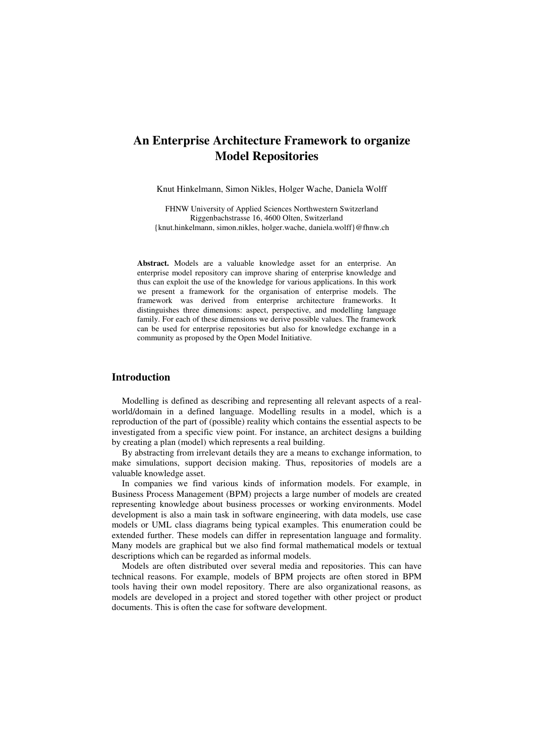# **An Enterprise Architecture Framework to organize Model Repositories**

Knut Hinkelmann, Simon Nikles, Holger Wache, Daniela Wolff

FHNW University of Applied Sciences Northwestern Switzerland Riggenbachstrasse 16, 4600 Olten, Switzerland {knut.hinkelmann, simon.nikles, holger.wache, daniela.wolff}@fhnw.ch

**Abstract.** Models are a valuable knowledge asset for an enterprise. An enterprise model repository can improve sharing of enterprise knowledge and thus can exploit the use of the knowledge for various applications. In this work we present a framework for the organisation of enterprise models. The framework was derived from enterprise architecture frameworks. It distinguishes three dimensions: aspect, perspective, and modelling language family. For each of these dimensions we derive possible values. The framework can be used for enterprise repositories but also for knowledge exchange in a community as proposed by the Open Model Initiative.

# **Introduction**

Modelling is defined as describing and representing all relevant aspects of a realworld/domain in a defined language. Modelling results in a model, which is a reproduction of the part of (possible) reality which contains the essential aspects to be investigated from a specific view point. For instance, an architect designs a building by creating a plan (model) which represents a real building.

By abstracting from irrelevant details they are a means to exchange information, to make simulations, support decision making. Thus, repositories of models are a valuable knowledge asset.

In companies we find various kinds of information models. For example, in Business Process Management (BPM) projects a large number of models are created representing knowledge about business processes or working environments. Model development is also a main task in software engineering, with data models, use case models or UML class diagrams being typical examples. This enumeration could be extended further. These models can differ in representation language and formality. Many models are graphical but we also find formal mathematical models or textual descriptions which can be regarded as informal models.

Models are often distributed over several media and repositories. This can have technical reasons. For example, models of BPM projects are often stored in BPM tools having their own model repository. There are also organizational reasons, as models are developed in a project and stored together with other project or product documents. This is often the case for software development.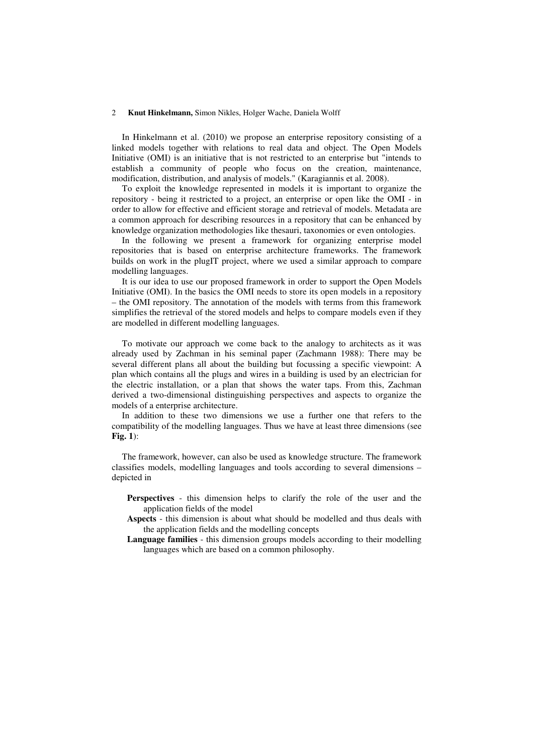In Hinkelmann et al. (2010) we propose an enterprise repository consisting of a linked models together with relations to real data and object. The Open Models Initiative (OMI) is an initiative that is not restricted to an enterprise but "intends to establish a community of people who focus on the creation, maintenance, modification, distribution, and analysis of models." (Karagiannis et al. 2008).

To exploit the knowledge represented in models it is important to organize the repository - being it restricted to a project, an enterprise or open like the OMI - in order to allow for effective and efficient storage and retrieval of models. Metadata are a common approach for describing resources in a repository that can be enhanced by knowledge organization methodologies like thesauri, taxonomies or even ontologies.

In the following we present a framework for organizing enterprise model repositories that is based on enterprise architecture frameworks. The framework builds on work in the plugIT project, where we used a similar approach to compare modelling languages.

It is our idea to use our proposed framework in order to support the Open Models Initiative (OMI). In the basics the OMI needs to store its open models in a repository – the OMI repository. The annotation of the models with terms from this framework simplifies the retrieval of the stored models and helps to compare models even if they are modelled in different modelling languages.

To motivate our approach we come back to the analogy to architects as it was already used by Zachman in his seminal paper (Zachmann 1988): There may be several different plans all about the building but focussing a specific viewpoint: A plan which contains all the plugs and wires in a building is used by an electrician for the electric installation, or a plan that shows the water taps. From this, Zachman derived a two-dimensional distinguishing perspectives and aspects to organize the models of a enterprise architecture.

In addition to these two dimensions we use a further one that refers to the compatibility of the modelling languages. Thus we have at least three dimensions (see **Fig. 1**):

The framework, however, can also be used as knowledge structure. The framework classifies models, modelling languages and tools according to several dimensions – depicted in

- **Perspectives** this dimension helps to clarify the role of the user and the application fields of the model
- **Aspects** this dimension is about what should be modelled and thus deals with the application fields and the modelling concepts
- **Language families** this dimension groups models according to their modelling languages which are based on a common philosophy.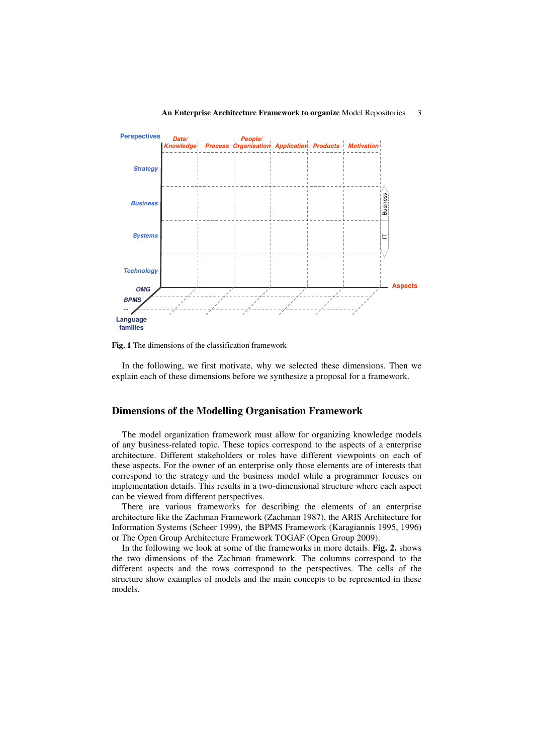

#### **An Enterprise Architecture Framework to organize** Model Repositories 3

**Fig. 1** The dimensions of the classification framework

In the following, we first motivate, why we selected these dimensions. Then we explain each of these dimensions before we synthesize a proposal for a framework.

## **Dimensions of the Modelling Organisation Framework**

The model organization framework must allow for organizing knowledge models of any business-related topic. These topics correspond to the aspects of a enterprise architecture. Different stakeholders or roles have different viewpoints on each of these aspects. For the owner of an enterprise only those elements are of interests that correspond to the strategy and the business model while a programmer focuses on implementation details. This results in a two-dimensional structure where each aspect can be viewed from different perspectives.

There are various frameworks for describing the elements of an enterprise architecture like the Zachman Framework (Zachman 1987), the ARIS Architecture for Information Systems (Scheer 1999), the BPMS Framework (Karagiannis 1995, 1996) or The Open Group Architecture Framework TOGAF (Open Group 2009).

In the following we look at some of the frameworks in more details. **Fig. 2.** shows the two dimensions of the Zachman framework. The columns correspond to the different aspects and the rows correspond to the perspectives. The cells of the structure show examples of models and the main concepts to be represented in these models.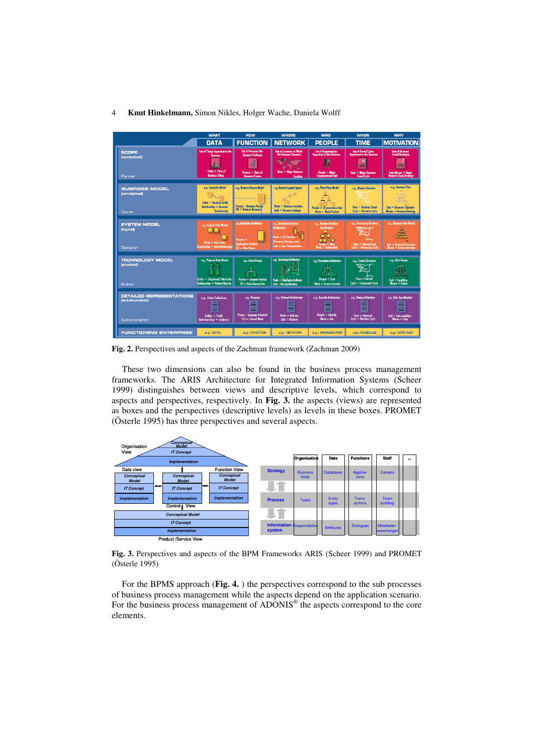

**Fig. 2.** Perspectives and aspects of the Zachman framework (Zachman 2009)

These two dimensions can also be found in the business process management frameworks. The ARIS Architecture for Integrated Information Systems (Scheer 1999) distinguishes between views and descriptive levels, which correspond to aspects and perspectives, respectively. In **Fig. 3.** the aspects (views) are represented as boxes and the perspectives (descriptive levels) as levels in these boxes. PROMET (Österle 1995) has three perspectives and several aspects.



**Fig. 3.** Perspectives and aspects of the BPM Frameworks ARIS (Scheer 1999) and PROMET (Österle 1995)

For the BPMS approach (**Fig. 4.** ) the perspectives correspond to the sub processes of business process management while the aspects depend on the application scenario. For the business process management of ADONIS<sup>®</sup> the aspects correspond to the core elements.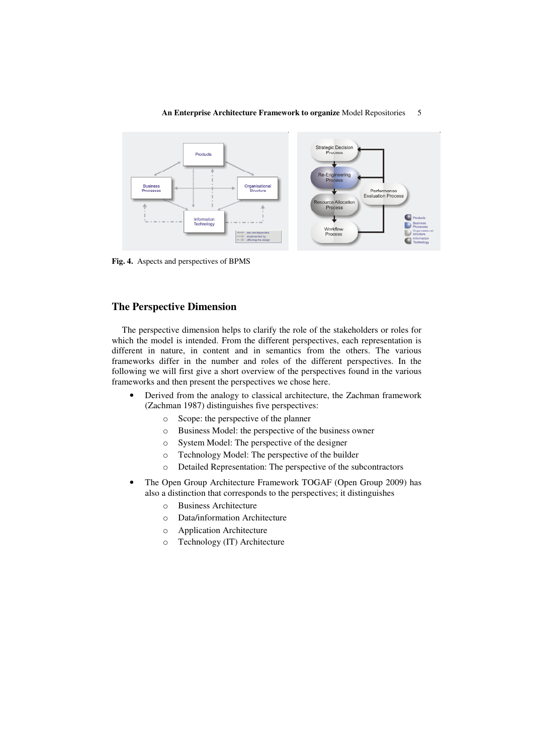

#### **An Enterprise Architecture Framework to organize** Model Repositories 5

**Fig. 4.** Aspects and perspectives of BPMS

### **The Perspective Dimension**

The perspective dimension helps to clarify the role of the stakeholders or roles for which the model is intended. From the different perspectives, each representation is different in nature, in content and in semantics from the others. The various frameworks differ in the number and roles of the different perspectives. In the following we will first give a short overview of the perspectives found in the various frameworks and then present the perspectives we chose here.

- Derived from the analogy to classical architecture, the Zachman framework (Zachman 1987) distinguishes five perspectives:
	- o Scope: the perspective of the planner
	- o Business Model: the perspective of the business owner
	- o System Model: The perspective of the designer
	- o Technology Model: The perspective of the builder
	- o Detailed Representation: The perspective of the subcontractors
- The Open Group Architecture Framework TOGAF (Open Group 2009) has also a distinction that corresponds to the perspectives; it distinguishes
	- o Business Architecture
	- o Data/information Architecture
	- o Application Architecture
	- o Technology (IT) Architecture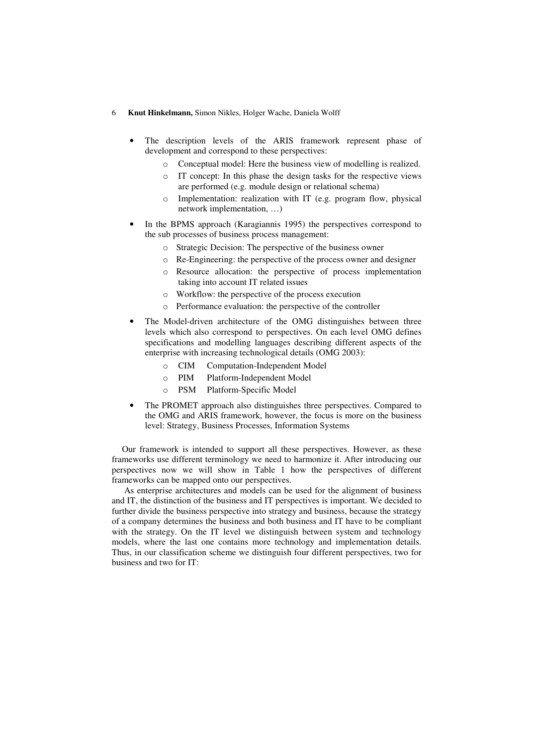- The description levels of the ARIS framework represent phase of development and correspond to these perspectives:
	- o Conceptual model: Here the business view of modelling is realized.
	- o IT concept: In this phase the design tasks for the respective views are performed (e.g. module design or relational schema)
	- o Implementation: realization with IT (e.g. program flow, physical network implementation, …)
- In the BPMS approach (Karagiannis 1995) the perspectives correspond to the sub processes of business process management:
	- o Strategic Decision: The perspective of the business owner
	- o Re-Engineering: the perspective of the process owner and designer
	- o Resource allocation: the perspective of process implementation taking into account IT related issues
	- o Workflow: the perspective of the process execution
	- o Performance evaluation: the perspective of the controller
- The Model-driven architecture of the OMG distinguishes between three levels which also correspond to perspectives. On each level OMG defines specifications and modelling languages describing different aspects of the enterprise with increasing technological details (OMG 2003):
	- o CIM Computation-Independent Model
	- o PIM Platform-Independent Model
	- o PSM Platform-Specific Model
- The PROMET approach also distinguishes three perspectives. Compared to the OMG and ARIS framework, however, the focus is more on the business level: Strategy, Business Processes, Information Systems

Our framework is intended to support all these perspectives. However, as these frameworks use different terminology we need to harmonize it. After introducing our perspectives now we will show in Table 1 how the perspectives of different frameworks can be mapped onto our perspectives.

 As enterprise architectures and models can be used for the alignment of business and IT, the distinction of the business and IT perspectives is important. We decided to further divide the business perspective into strategy and business, because the strategy of a company determines the business and both business and IT have to be compliant with the strategy. On the IT level we distinguish between system and technology models, where the last one contains more technology and implementation details. Thus, in our classification scheme we distinguish four different perspectives, two for business and two for IT: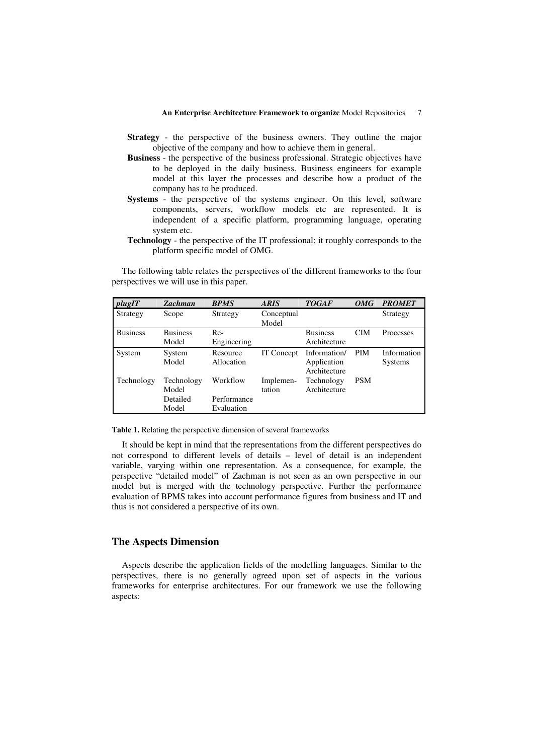- **Strategy** the perspective of the business owners. They outline the major objective of the company and how to achieve them in general.
- **Business** the perspective of the business professional. Strategic objectives have to be deployed in the daily business. Business engineers for example model at this layer the processes and describe how a product of the company has to be produced.
- **Systems** the perspective of the systems engineer. On this level, software components, servers, workflow models etc are represented. It is independent of a specific platform, programming language, operating system etc.
- **Technology** the perspective of the IT professional; it roughly corresponds to the platform specific model of OMG.

The following table relates the perspectives of the different frameworks to the four perspectives we will use in this paper.

| plugIT          | Zachman         | <b>BPMS</b> | <b>ARIS</b> | <b>TOGAF</b>    | OMG        | <b>PROMET</b> |
|-----------------|-----------------|-------------|-------------|-----------------|------------|---------------|
| Strategy        | Scope           | Strategy    | Conceptual  |                 |            | Strategy      |
|                 |                 |             | Model       |                 |            |               |
| <b>Business</b> | <b>Business</b> | $Re-$       |             | <b>Business</b> | <b>CIM</b> | Processes     |
|                 | Model           | Engineering |             | Architecture    |            |               |
| System          | System          | Resource    | IT Concept  | Information/    | PIM        | Information   |
|                 | Model           | Allocation  |             | Application     |            | Systems       |
|                 |                 |             |             | Architecture    |            |               |
| Technology      | Technology      | Workflow    | Implemen-   | Technology      | <b>PSM</b> |               |
|                 | Model           |             | tation      | Architecture    |            |               |
|                 | Detailed        | Performance |             |                 |            |               |
|                 | Model           | Evaluation  |             |                 |            |               |

**Table 1.** Relating the perspective dimension of several frameworks

It should be kept in mind that the representations from the different perspectives do not correspond to different levels of details – level of detail is an independent variable, varying within one representation. As a consequence, for example, the perspective "detailed model" of Zachman is not seen as an own perspective in our model but is merged with the technology perspective. Further the performance evaluation of BPMS takes into account performance figures from business and IT and thus is not considered a perspective of its own.

# **The Aspects Dimension**

Aspects describe the application fields of the modelling languages. Similar to the perspectives, there is no generally agreed upon set of aspects in the various frameworks for enterprise architectures. For our framework we use the following aspects: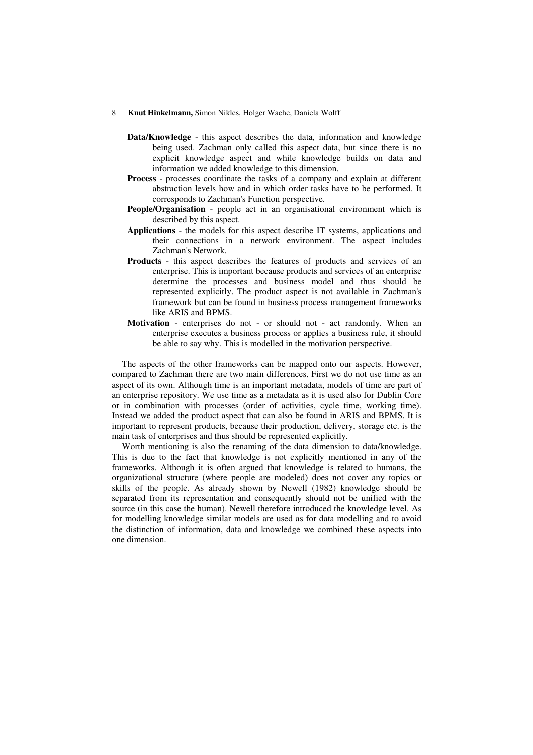- **Data/Knowledge** this aspect describes the data, information and knowledge being used. Zachman only called this aspect data, but since there is no explicit knowledge aspect and while knowledge builds on data and information we added knowledge to this dimension.
- **Process**  processes coordinate the tasks of a company and explain at different abstraction levels how and in which order tasks have to be performed. It corresponds to Zachman's Function perspective.
- **People/Organisation** people act in an organisational environment which is described by this aspect.
- **Applications** the models for this aspect describe IT systems, applications and their connections in a network environment. The aspect includes Zachman's Network.
- **Products** this aspect describes the features of products and services of an enterprise. This is important because products and services of an enterprise determine the processes and business model and thus should be represented explicitly. The product aspect is not available in Zachman's framework but can be found in business process management frameworks like ARIS and BPMS.
- **Motivation** enterprises do not or should not act randomly. When an enterprise executes a business process or applies a business rule, it should be able to say why. This is modelled in the motivation perspective.

The aspects of the other frameworks can be mapped onto our aspects. However, compared to Zachman there are two main differences. First we do not use time as an aspect of its own. Although time is an important metadata, models of time are part of an enterprise repository. We use time as a metadata as it is used also for Dublin Core or in combination with processes (order of activities, cycle time, working time). Instead we added the product aspect that can also be found in ARIS and BPMS. It is important to represent products, because their production, delivery, storage etc. is the main task of enterprises and thus should be represented explicitly.

Worth mentioning is also the renaming of the data dimension to data/knowledge. This is due to the fact that knowledge is not explicitly mentioned in any of the frameworks. Although it is often argued that knowledge is related to humans, the organizational structure (where people are modeled) does not cover any topics or skills of the people. As already shown by Newell (1982) knowledge should be separated from its representation and consequently should not be unified with the source (in this case the human). Newell therefore introduced the knowledge level. As for modelling knowledge similar models are used as for data modelling and to avoid the distinction of information, data and knowledge we combined these aspects into one dimension.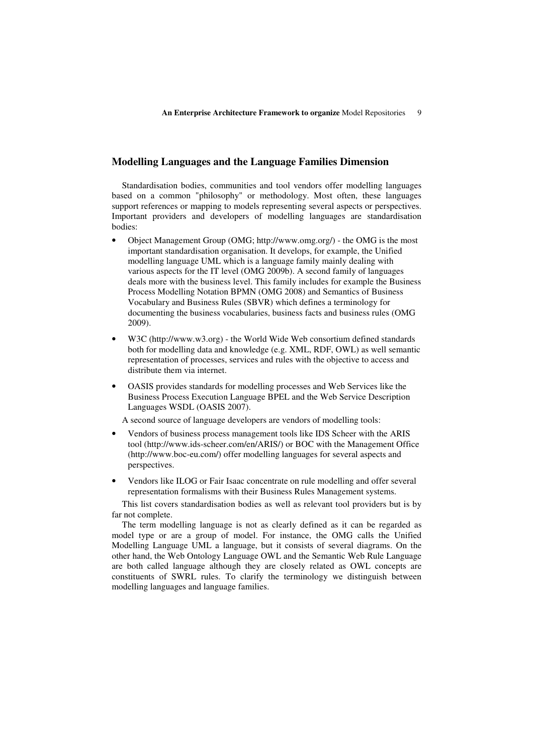### **Modelling Languages and the Language Families Dimension**

Standardisation bodies, communities and tool vendors offer modelling languages based on a common "philosophy" or methodology. Most often, these languages support references or mapping to models representing several aspects or perspectives. Important providers and developers of modelling languages are standardisation bodies:

- Object Management Group (OMG; http://www.omg.org/) the OMG is the most important standardisation organisation. It develops, for example, the Unified modelling language UML which is a language family mainly dealing with various aspects for the IT level (OMG 2009b). A second family of languages deals more with the business level. This family includes for example the Business Process Modelling Notation BPMN (OMG 2008) and Semantics of Business Vocabulary and Business Rules (SBVR) which defines a terminology for documenting the business vocabularies, business facts and business rules (OMG 2009).
- W3C (http://www.w3.org) the World Wide Web consortium defined standards both for modelling data and knowledge (e.g. XML, RDF, OWL) as well semantic representation of processes, services and rules with the objective to access and distribute them via internet.
- OASIS provides standards for modelling processes and Web Services like the Business Process Execution Language BPEL and the Web Service Description Languages WSDL (OASIS 2007).

A second source of language developers are vendors of modelling tools:

- Vendors of business process management tools like IDS Scheer with the ARIS tool (http://www.ids-scheer.com/en/ARIS/) or BOC with the Management Office (http://www.boc-eu.com/) offer modelling languages for several aspects and perspectives.
- Vendors like ILOG or Fair Isaac concentrate on rule modelling and offer several representation formalisms with their Business Rules Management systems.

This list covers standardisation bodies as well as relevant tool providers but is by far not complete.

The term modelling language is not as clearly defined as it can be regarded as model type or are a group of model. For instance, the OMG calls the Unified Modelling Language UML a language, but it consists of several diagrams. On the other hand, the Web Ontology Language OWL and the Semantic Web Rule Language are both called language although they are closely related as OWL concepts are constituents of SWRL rules. To clarify the terminology we distinguish between modelling languages and language families.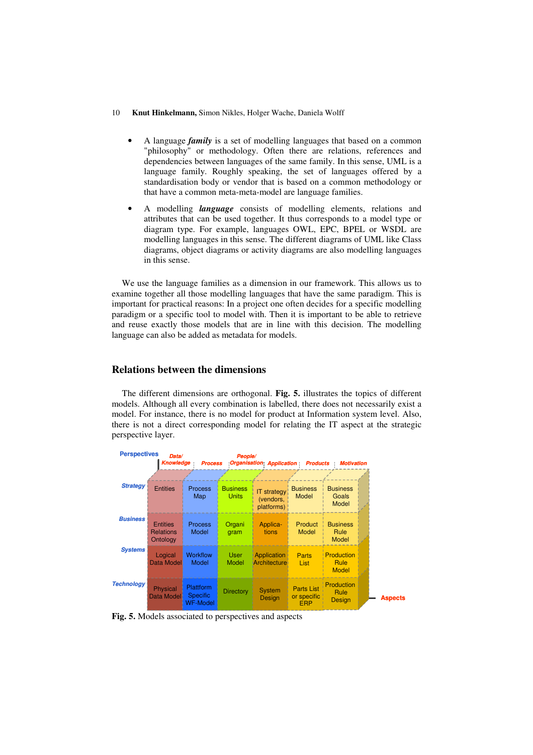- A language *family* is a set of modelling languages that based on a common "philosophy" or methodology. Often there are relations, references and dependencies between languages of the same family. In this sense, UML is a language family. Roughly speaking, the set of languages offered by a standardisation body or vendor that is based on a common methodology or that have a common meta-meta-model are language families.
- A modelling *language* consists of modelling elements, relations and attributes that can be used together. It thus corresponds to a model type or diagram type. For example, languages OWL, EPC, BPEL or WSDL are modelling languages in this sense. The different diagrams of UML like Class diagrams, object diagrams or activity diagrams are also modelling languages in this sense.

We use the language families as a dimension in our framework. This allows us to examine together all those modelling languages that have the same paradigm. This is important for practical reasons: In a project one often decides for a specific modelling paradigm or a specific tool to model with. Then it is important to be able to retrieve and reuse exactly those models that are in line with this decision. The modelling language can also be added as metadata for models.

# **Relations between the dimensions**

The different dimensions are orthogonal. **Fig. 5.** illustrates the topics of different models. Although all every combination is labelled, there does not necessarily exist a model. For instance, there is no model for product at Information system level. Also, there is not a direct corresponding model for relating the IT aspect at the strategic perspective layer.



**Fig. 5.** Models associated to perspectives and aspects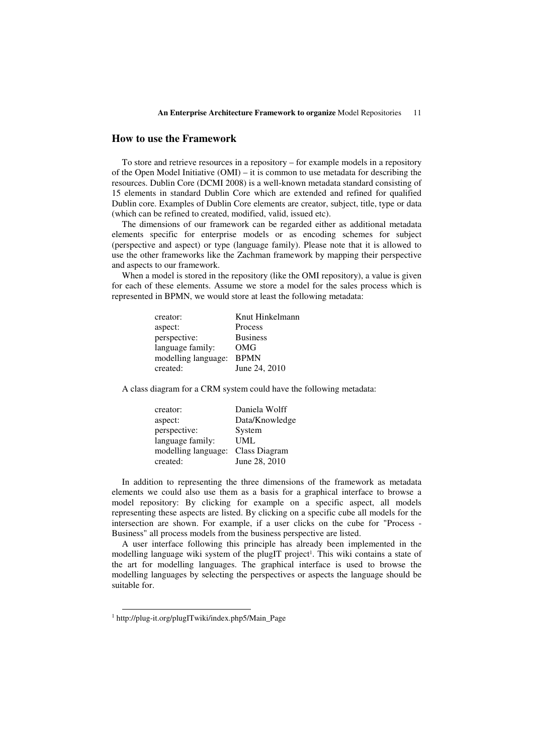### **How to use the Framework**

To store and retrieve resources in a repository – for example models in a repository of the Open Model Initiative (OMI) – it is common to use metadata for describing the resources. Dublin Core (DCMI 2008) is a well-known metadata standard consisting of 15 elements in standard Dublin Core which are extended and refined for qualified Dublin core. Examples of Dublin Core elements are creator, subject, title, type or data (which can be refined to created, modified, valid, issued etc).

The dimensions of our framework can be regarded either as additional metadata elements specific for enterprise models or as encoding schemes for subject (perspective and aspect) or type (language family). Please note that it is allowed to use the other frameworks like the Zachman framework by mapping their perspective and aspects to our framework.

When a model is stored in the repository (like the OMI repository), a value is given for each of these elements. Assume we store a model for the sales process which is represented in BPMN, we would store at least the following metadata:

| creator:            | Knut Hinkelmann |
|---------------------|-----------------|
| aspect:             | Process         |
| perspective:        | <b>Business</b> |
| language family:    | OMG             |
| modelling language: | <b>BPMN</b>     |
| created:            | June 24, 2010   |
|                     |                 |

A class diagram for a CRM system could have the following metadata:

| creator:            | Daniela Wolff  |
|---------------------|----------------|
| aspect:             | Data/Knowledge |
| perspective:        | System         |
| language family:    | UML            |
| modelling language: | Class Diagram  |
| created:            | June 28, 2010  |

In addition to representing the three dimensions of the framework as metadata elements we could also use them as a basis for a graphical interface to browse a model repository: By clicking for example on a specific aspect, all models representing these aspects are listed. By clicking on a specific cube all models for the intersection are shown. For example, if a user clicks on the cube for "Process - Business" all process models from the business perspective are listed.

A user interface following this principle has already been implemented in the modelling language wiki system of the plugIT project 1 . This wiki contains a state of the art for modelling languages. The graphical interface is used to browse the modelling languages by selecting the perspectives or aspects the language should be suitable for.

 $\overline{a}$ 

<sup>1</sup> http://plug-it.org/plugITwiki/index.php5/Main\_Page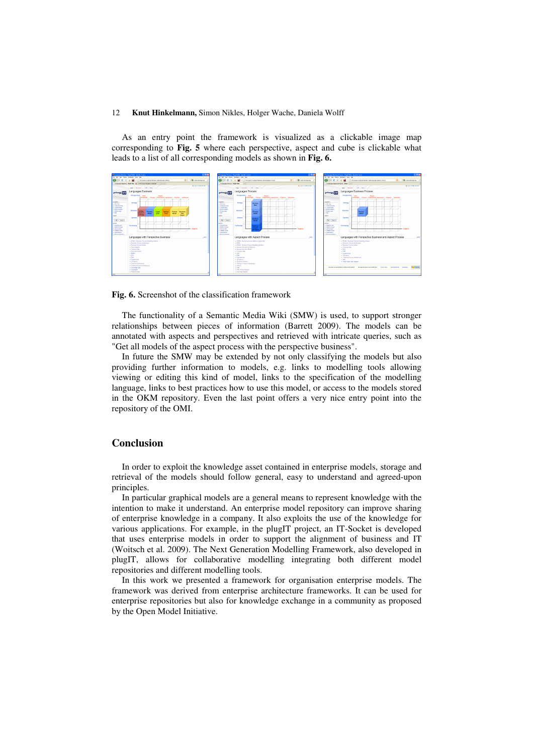As an entry point the framework is visualized as a clickable image map corresponding to **Fig. 5** where each perspective, aspect and cube is clickable what leads to a list of all corresponding models as shown in **Fig. 6.**



#### **Fig. 6.** Screenshot of the classification framework

The functionality of a Semantic Media Wiki (SMW) is used, to support stronger relationships between pieces of information (Barrett 2009). The models can be annotated with aspects and perspectives and retrieved with intricate queries, such as "Get all models of the aspect process with the perspective business".

In future the SMW may be extended by not only classifying the models but also providing further information to models, e.g. links to modelling tools allowing viewing or editing this kind of model, links to the specification of the modelling language, links to best practices how to use this model, or access to the models stored in the OKM repository. Even the last point offers a very nice entry point into the repository of the OMI.

# **Conclusion**

In order to exploit the knowledge asset contained in enterprise models, storage and retrieval of the models should follow general, easy to understand and agreed-upon principles.

In particular graphical models are a general means to represent knowledge with the intention to make it understand. An enterprise model repository can improve sharing of enterprise knowledge in a company. It also exploits the use of the knowledge for various applications. For example, in the plugIT project, an IT-Socket is developed that uses enterprise models in order to support the alignment of business and IT (Woitsch et al. 2009). The Next Generation Modelling Framework, also developed in plugIT, allows for collaborative modelling integrating both different model repositories and different modelling tools.

In this work we presented a framework for organisation enterprise models. The framework was derived from enterprise architecture frameworks. It can be used for enterprise repositories but also for knowledge exchange in a community as proposed by the Open Model Initiative.